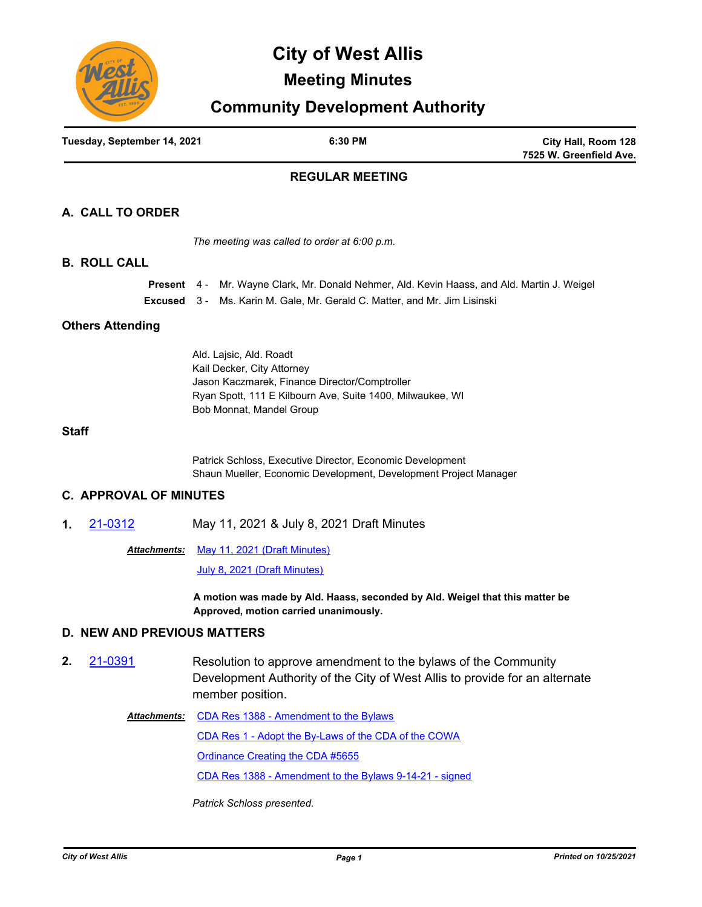

# **City of West Allis**

## **Meeting Minutes**

## **Community Development Authority**

| Tuesday, September 14, 2021 | 6:30 PM | City Hall, Room 128     |
|-----------------------------|---------|-------------------------|
|                             |         | 7525 W. Greenfield Ave. |
|                             |         |                         |

## **REGULAR MEETING**

## **A. CALL TO ORDER**

*The meeting was called to order at 6:00 p.m.*

#### **B. ROLL CALL**

|  | <b>Present</b> 4 - Mr. Wayne Clark, Mr. Donald Nehmer, Ald. Kevin Haass, and Ald. Martin J. Weigel |
|--|----------------------------------------------------------------------------------------------------|
|  | <b>Excused</b> 3 - Ms. Karin M. Gale, Mr. Gerald C. Matter, and Mr. Jim Lisinski                   |

#### **Others Attending**

Ald. Lajsic, Ald. Roadt Kail Decker, City Attorney Jason Kaczmarek, Finance Director/Comptroller Ryan Spott, 111 E Kilbourn Ave, Suite 1400, Milwaukee, WI Bob Monnat, Mandel Group

#### **Staff**

Patrick Schloss, Executive Director, Economic Development Shaun Mueller, Economic Development, Development Project Manager

### **C. APPROVAL OF MINUTES**

**1.** [21-0312](http://westalliswi.legistar.com/gateway.aspx?m=l&id=/matter.aspx?key=26247) May 11, 2021 & July 8, 2021 Draft Minutes

Attachments: [May 11, 2021 \(Draft Minutes\)](http://westalliswi.legistar.com/gateway.aspx?M=F&ID=f62d6424-1e8f-479f-a139-32e02321fcc6.pdf)

[July 8, 2021 \(Draft Minutes\)](http://westalliswi.legistar.com/gateway.aspx?M=F&ID=cc0ea2a0-5d9e-4024-bcbb-f221460e49e9.pdf)

**A motion was made by Ald. Haass, seconded by Ald. Weigel that this matter be Approved, motion carried unanimously.**

### **D. NEW AND PREVIOUS MATTERS**

- **2.** [21-0391](http://westalliswi.legistar.com/gateway.aspx?m=l&id=/matter.aspx?key=27524) Resolution to approve amendment to the bylaws of the Community Development Authority of the City of West Allis to provide for an alternate member position.
	- Attachments: [CDA Res 1388 Amendment to the Bylaws](http://westalliswi.legistar.com/gateway.aspx?M=F&ID=2c16440a-f459-467a-a67b-5e9c6f8119ba.pdf) [CDA Res 1 - Adopt the By-Laws of the CDA of the COWA](http://westalliswi.legistar.com/gateway.aspx?M=F&ID=eaaf07e3-eb61-4edc-b4d2-a6b2828359d1.pdf) [Ordinance Creating the CDA #5655](http://westalliswi.legistar.com/gateway.aspx?M=F&ID=f15defb6-875e-476d-abfd-309c76549388.pdf) [CDA Res 1388 - Amendment to the Bylaws 9-14-21 - signed](http://westalliswi.legistar.com/gateway.aspx?M=F&ID=d1e39ea1-3049-4fc3-a4c3-be6df080f511.pdf)

*Patrick Schloss presented.*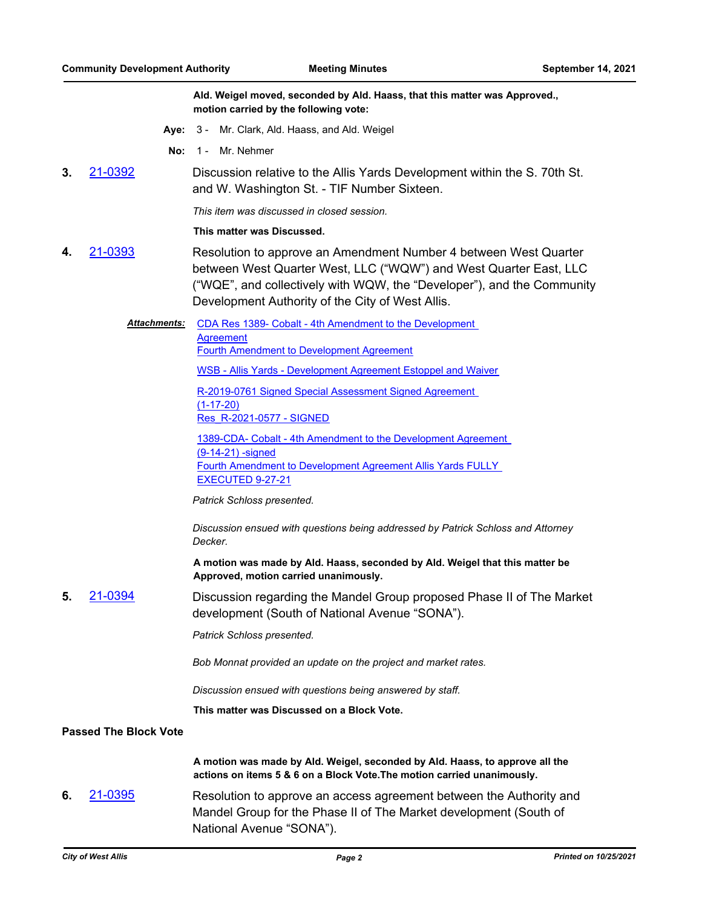**Ald. Weigel moved, seconded by Ald. Haass, that this matter was Approved., motion carried by the following vote:**

- **Aye:** 3 Mr. Clark, Ald. Haass, and Ald. Weigel
- **No:** 1 Mr. Nehmer
- **3.** [21-0392](http://westalliswi.legistar.com/gateway.aspx?m=l&id=/matter.aspx?key=27525) Discussion relative to the Allis Yards Development within the S. 70th St. and W. Washington St. - TIF Number Sixteen.

*This item was discussed in closed session.*

#### **This matter was Discussed.**

- **4.** [21-0393](http://westalliswi.legistar.com/gateway.aspx?m=l&id=/matter.aspx?key=27526) Resolution to approve an Amendment Number 4 between West Quarter between West Quarter West, LLC ("WQW") and West Quarter East, LLC ("WQE", and collectively with WQW, the "Developer"), and the Community Development Authority of the City of West Allis.
	- [CDA Res 1389- Cobalt 4th Amendment to the Development](http://westalliswi.legistar.com/gateway.aspx?M=F&ID=b4d2ee6e-3bc6-412d-8825-2866e8cee507.pdf)  Agreement *Attachments:*

[Fourth Amendment to Development Agreement](http://westalliswi.legistar.com/gateway.aspx?M=F&ID=5396e724-eaf2-454c-98a0-c2347b0cb4ea.pdf)

[WSB - Allis Yards - Development Agreement Estoppel and Waiver](http://westalliswi.legistar.com/gateway.aspx?M=F&ID=dcf3b509-bb9f-4639-a992-fd55f666878c.pdf)

[R-2019-0761 Signed Special Assessment Signed Agreement](http://westalliswi.legistar.com/gateway.aspx?M=F&ID=ae2dc79c-359f-45ad-b0f5-98c88274d4b1.pdf)  (1-17-20)

[Res\\_R-2021-0577 - SIGNED](http://westalliswi.legistar.com/gateway.aspx?M=F&ID=e8210ed2-6d41-4285-94de-f51cf851d711.pdf)

[1389-CDA- Cobalt - 4th Amendment to the Development Agreement](http://westalliswi.legistar.com/gateway.aspx?M=F&ID=0c59a3f5-1deb-4690-b387-09dcff4ef18a.pdf)  (9-14-21) -signed [Fourth Amendment to Development Agreement Allis Yards FULLY](http://westalliswi.legistar.com/gateway.aspx?M=F&ID=6acdf9af-288e-4ce2-8241-df15f96703a2.pdf)  EXECUTED 9-27-21

*Patrick Schloss presented.*

*Discussion ensued with questions being addressed by Patrick Schloss and Attorney Decker.*

**A motion was made by Ald. Haass, seconded by Ald. Weigel that this matter be Approved, motion carried unanimously.**

**5.** [21-0394](http://westalliswi.legistar.com/gateway.aspx?m=l&id=/matter.aspx?key=27527) Discussion regarding the Mandel Group proposed Phase II of The Market development (South of National Avenue "SONA").

*Patrick Schloss presented.*

*Bob Monnat provided an update on the project and market rates.*

*Discussion ensued with questions being answered by staff.*

**This matter was Discussed on a Block Vote.**

#### **Passed The Block Vote**

**A motion was made by Ald. Weigel, seconded by Ald. Haass, to approve all the actions on items 5 & 6 on a Block Vote.The motion carried unanimously.**

**6.** [21-0395](http://westalliswi.legistar.com/gateway.aspx?m=l&id=/matter.aspx?key=27528) Resolution to approve an access agreement between the Authority and Mandel Group for the Phase II of The Market development (South of National Avenue "SONA").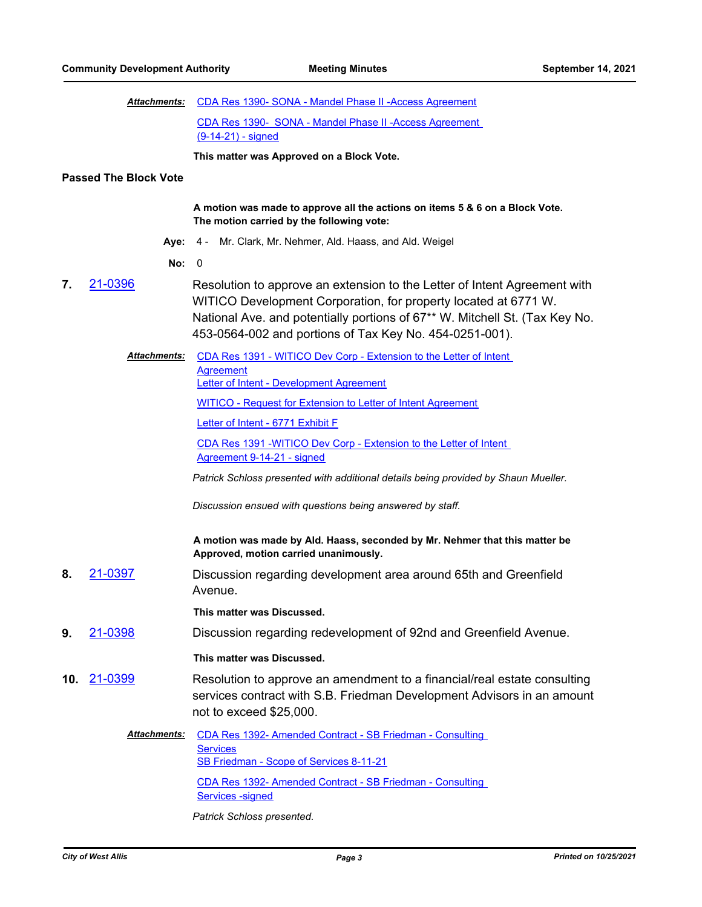|     | <b>Attachments:</b>          | CDA Res 1390- SONA - Mandel Phase II - Access Agreement                                                                                                                                                                                                                                |
|-----|------------------------------|----------------------------------------------------------------------------------------------------------------------------------------------------------------------------------------------------------------------------------------------------------------------------------------|
|     |                              | CDA Res 1390- SONA - Mandel Phase II - Access Agreement                                                                                                                                                                                                                                |
|     |                              | (9-14-21) - signed                                                                                                                                                                                                                                                                     |
|     |                              | This matter was Approved on a Block Vote.                                                                                                                                                                                                                                              |
|     | <b>Passed The Block Vote</b> |                                                                                                                                                                                                                                                                                        |
|     |                              | A motion was made to approve all the actions on items 5 & 6 on a Block Vote.<br>The motion carried by the following vote:                                                                                                                                                              |
|     | Aye:                         | 4 - Mr. Clark, Mr. Nehmer, Ald. Haass, and Ald. Weigel                                                                                                                                                                                                                                 |
|     | No:                          | 0                                                                                                                                                                                                                                                                                      |
| 7.  | 21-0396                      | Resolution to approve an extension to the Letter of Intent Agreement with<br>WITICO Development Corporation, for property located at 6771 W.<br>National Ave. and potentially portions of 67** W. Mitchell St. (Tax Key No.<br>453-0564-002 and portions of Tax Key No. 454-0251-001). |
|     | Attachments:                 | CDA Res 1391 - WITICO Dev Corp - Extension to the Letter of Intent<br><b>Agreement</b><br>Letter of Intent - Development Agreement                                                                                                                                                     |
|     |                              | <b>WITICO - Request for Extension to Letter of Intent Agreement</b>                                                                                                                                                                                                                    |
|     |                              | Letter of Intent - 6771 Exhibit F                                                                                                                                                                                                                                                      |
|     |                              | CDA Res 1391 -WITICO Dev Corp - Extension to the Letter of Intent<br>Agreement 9-14-21 - signed                                                                                                                                                                                        |
|     |                              | Patrick Schloss presented with additional details being provided by Shaun Mueller.                                                                                                                                                                                                     |
|     |                              | Discussion ensued with questions being answered by staff.                                                                                                                                                                                                                              |
|     |                              | A motion was made by Ald. Haass, seconded by Mr. Nehmer that this matter be<br>Approved, motion carried unanimously.                                                                                                                                                                   |
| 8.  | 21-0397                      | Discussion regarding development area around 65th and Greenfield<br>Avenue.                                                                                                                                                                                                            |
|     |                              | This matter was Discussed.                                                                                                                                                                                                                                                             |
| 9.  | 21-0398                      | Discussion regarding redevelopment of 92nd and Greenfield Avenue.                                                                                                                                                                                                                      |
|     |                              | This matter was Discussed.                                                                                                                                                                                                                                                             |
| 10. | 21-0399                      | Resolution to approve an amendment to a financial/real estate consulting<br>services contract with S.B. Friedman Development Advisors in an amount<br>not to exceed \$25,000.                                                                                                          |
|     | Attachments:                 | CDA Res 1392- Amended Contract - SB Friedman - Consulting<br><b>Services</b><br>SB Friedman - Scope of Services 8-11-21                                                                                                                                                                |
|     |                              | CDA Res 1392- Amended Contract - SB Friedman - Consulting<br><b>Services -signed</b>                                                                                                                                                                                                   |

*Patrick Schloss presented.*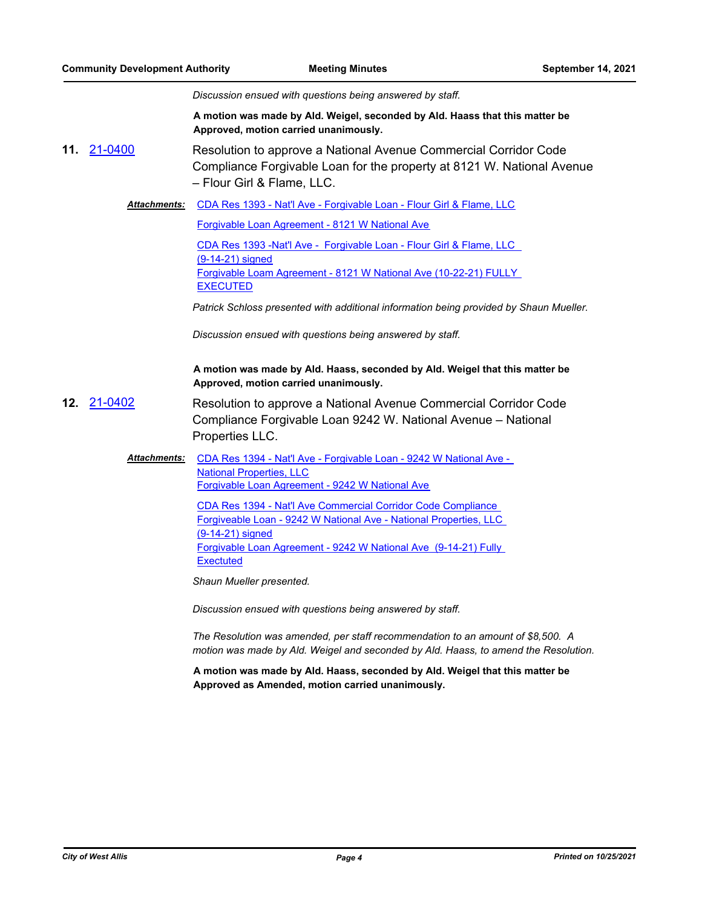*Discussion ensued with questions being answered by staff.*

**A motion was made by Ald. Weigel, seconded by Ald. Haass that this matter be Approved, motion carried unanimously.**

**11.** [21-0400](http://westalliswi.legistar.com/gateway.aspx?m=l&id=/matter.aspx?key=27533) Resolution to approve a National Avenue Commercial Corridor Code Compliance Forgivable Loan for the property at 8121 W. National Avenue – Flour Girl & Flame, LLC.

Attachments: [CDA Res 1393 - Nat'l Ave - Forgivable Loan - Flour Girl & Flame, LLC](http://westalliswi.legistar.com/gateway.aspx?M=F&ID=6986aa41-6d3e-4b97-93ab-59f4d93d2df7.pdf)

[Forgivable Loan Agreement - 8121 W National Ave](http://westalliswi.legistar.com/gateway.aspx?M=F&ID=5ef227ea-3404-4303-b5db-8412d3d3990d.pdf)

[CDA Res 1393 -Nat'l Ave - Forgivable Loan - Flour Girl & Flame, LLC](http://westalliswi.legistar.com/gateway.aspx?M=F&ID=069966be-1931-4c07-a0fa-2b342745b043.pdf)  (9-14-21) signed [Forgivable Loam Agreement - 8121 W National Ave \(10-22-21\) FULLY](http://westalliswi.legistar.com/gateway.aspx?M=F&ID=74e987b8-55ef-4140-8505-b5c72380dadc.pdf)  **EXECUTED** 

*Patrick Schloss presented with additional information being provided by Shaun Mueller.*

*Discussion ensued with questions being answered by staff.*

#### **A motion was made by Ald. Haass, seconded by Ald. Weigel that this matter be Approved, motion carried unanimously.**

- **12.** [21-0402](http://westalliswi.legistar.com/gateway.aspx?m=l&id=/matter.aspx?key=27535) Resolution to approve a National Avenue Commercial Corridor Code Compliance Forgivable Loan 9242 W. National Avenue – National Properties LLC.
	- Attachments: CDA Res 1394 Nat'l Ave Forgivable Loan 9242 W National Ave -National Properties, LLC [Forgivable Loan Agreement - 9242 W National Ave](http://westalliswi.legistar.com/gateway.aspx?M=F&ID=49aeb002-555f-4a09-a20a-0a7683fc88df.pdf)

CDA Res 1394 - Nat'l Ave Commercial Corridor Code Compliance [Forgiveable Loan - 9242 W National Ave - National Properties, LLC](http://westalliswi.legistar.com/gateway.aspx?M=F&ID=8cebe8ca-94d1-4e40-a97e-a84726389a23.pdf)  (9-14-21) signed [Forgivable Loan Agreement - 9242 W National Ave \(9-14-21\) Fully](http://westalliswi.legistar.com/gateway.aspx?M=F&ID=8eb45ecc-d9c2-42c9-85fa-974af044c933.pdf)  **Exectuted** 

*Shaun Mueller presented.*

*Discussion ensued with questions being answered by staff.*

*The Resolution was amended, per staff recommendation to an amount of \$8,500. A motion was made by Ald. Weigel and seconded by Ald. Haass, to amend the Resolution.*

**A motion was made by Ald. Haass, seconded by Ald. Weigel that this matter be Approved as Amended, motion carried unanimously.**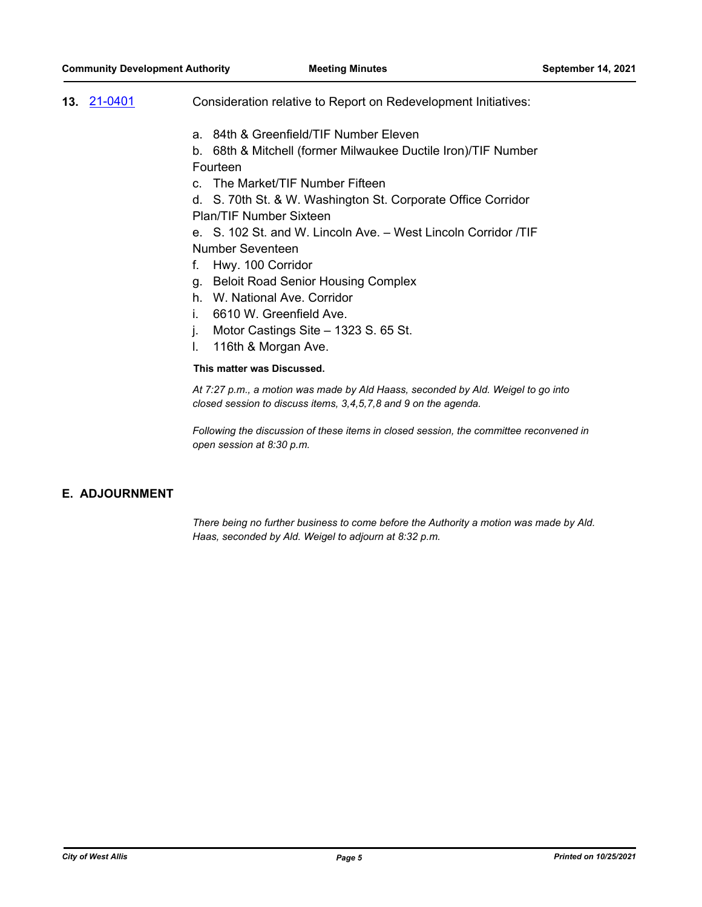- **13.** [21-0401](http://westalliswi.legistar.com/gateway.aspx?m=l&id=/matter.aspx?key=27534) Consideration relative to Report on Redevelopment Initiatives:
	- a. 84th & Greenfield/TIF Number Eleven

b. 68th & Mitchell (former Milwaukee Ductile Iron)/TIF Number Fourteen

c. The Market/TIF Number Fifteen

d. S. 70th St. & W. Washington St. Corporate Office Corridor Plan/TIF Number Sixteen

e. S. 102 St. and W. Lincoln Ave. – West Lincoln Corridor /TIF Number Seventeen

- f. Hwy. 100 Corridor
- g. Beloit Road Senior Housing Complex
- h. W. National Ave. Corridor
- i. 6610 W. Greenfield Ave.
- j. Motor Castings Site 1323 S. 65 St.
- l. 116th & Morgan Ave.

#### **This matter was Discussed.**

*At 7:27 p.m., a motion was made by Ald Haass, seconded by Ald. Weigel to go into closed session to discuss items, 3,4,5,7,8 and 9 on the agenda.*

*Following the discussion of these items in closed session, the committee reconvened in open session at 8:30 p.m.*

#### **E. ADJOURNMENT**

*There being no further business to come before the Authority a motion was made by Ald. Haas, seconded by Ald. Weigel to adjourn at 8:32 p.m.*